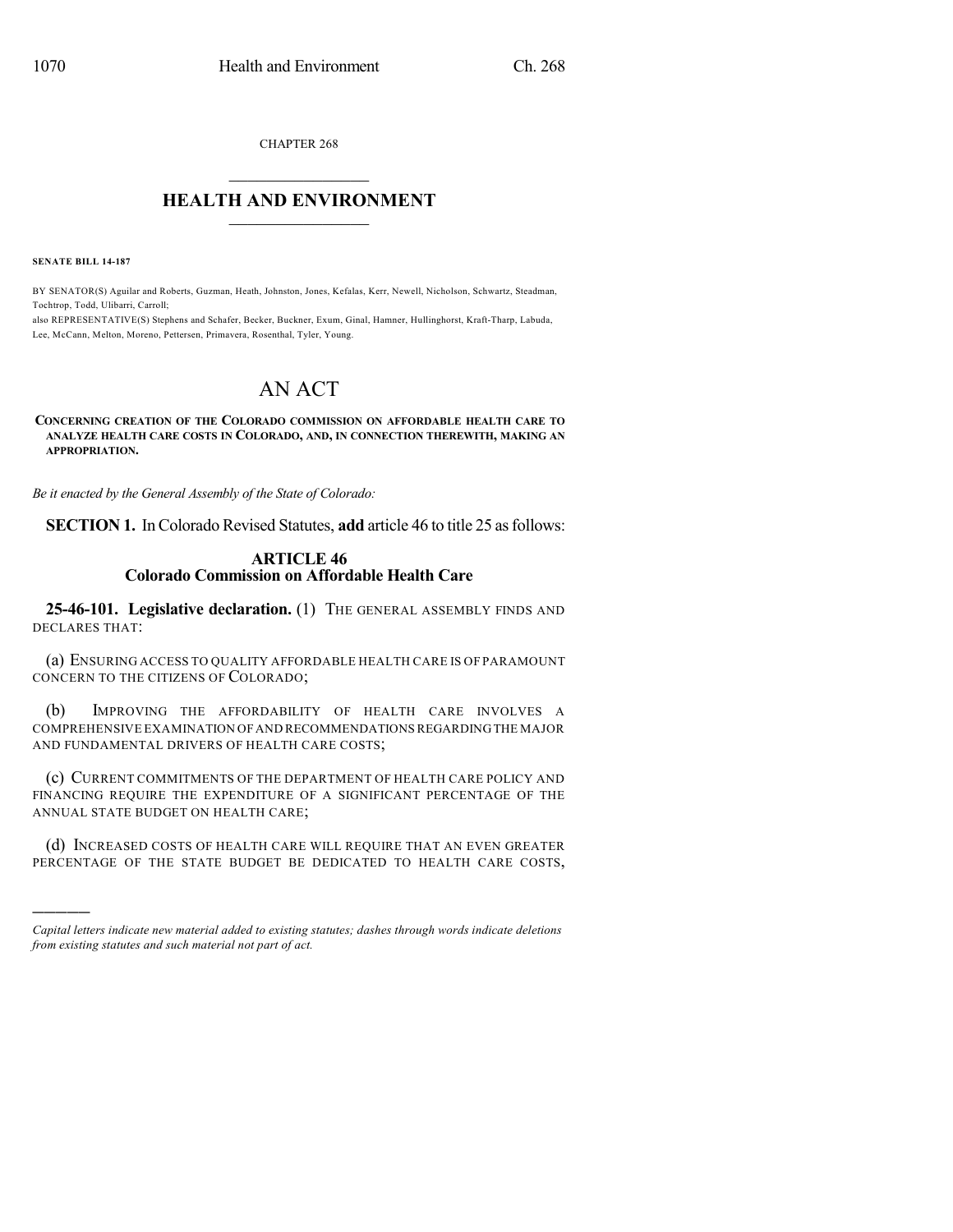CHAPTER 268

### $\mathcal{L}_\text{max}$  . The set of the set of the set of the set of the set of the set of the set of the set of the set of the set of the set of the set of the set of the set of the set of the set of the set of the set of the set **HEALTH AND ENVIRONMENT**  $\_$

**SENATE BILL 14-187**

)))))

BY SENATOR(S) Aguilar and Roberts, Guzman, Heath, Johnston, Jones, Kefalas, Kerr, Newell, Nicholson, Schwartz, Steadman, Tochtrop, Todd, Ulibarri, Carroll;

also REPRESENTATIVE(S) Stephens and Schafer, Becker, Buckner, Exum, Ginal, Hamner, Hullinghorst, Kraft-Tharp, Labuda, Lee, McCann, Melton, Moreno, Pettersen, Primavera, Rosenthal, Tyler, Young.

# AN ACT

#### **CONCERNING CREATION OF THE COLORADO COMMISSION ON AFFORDABLE HEALTH CARE TO ANALYZE HEALTH CARE COSTS IN COLORADO, AND, IN CONNECTION THEREWITH, MAKING AN APPROPRIATION.**

*Be it enacted by the General Assembly of the State of Colorado:*

**SECTION 1.** In Colorado Revised Statutes, **add** article 46 to title 25 as follows:

#### **ARTICLE 46 Colorado Commission on Affordable Health Care**

**25-46-101. Legislative declaration.** (1) THE GENERAL ASSEMBLY FINDS AND DECLARES THAT:

(a) ENSURING ACCESS TO QUALITY AFFORDABLE HEALTH CARE IS OF PARAMOUNT CONCERN TO THE CITIZENS OF COLORADO;

(b) IMPROVING THE AFFORDABILITY OF HEALTH CARE INVOLVES A COMPREHENSIVE EXAMINATION OFAND RECOMMENDATIONSREGARDINGTHE MAJOR AND FUNDAMENTAL DRIVERS OF HEALTH CARE COSTS;

(c) CURRENT COMMITMENTS OF THE DEPARTMENT OF HEALTH CARE POLICY AND FINANCING REQUIRE THE EXPENDITURE OF A SIGNIFICANT PERCENTAGE OF THE ANNUAL STATE BUDGET ON HEALTH CARE;

(d) INCREASED COSTS OF HEALTH CARE WILL REQUIRE THAT AN EVEN GREATER PERCENTAGE OF THE STATE BUDGET BE DEDICATED TO HEALTH CARE COSTS,

*Capital letters indicate new material added to existing statutes; dashes through words indicate deletions from existing statutes and such material not part of act.*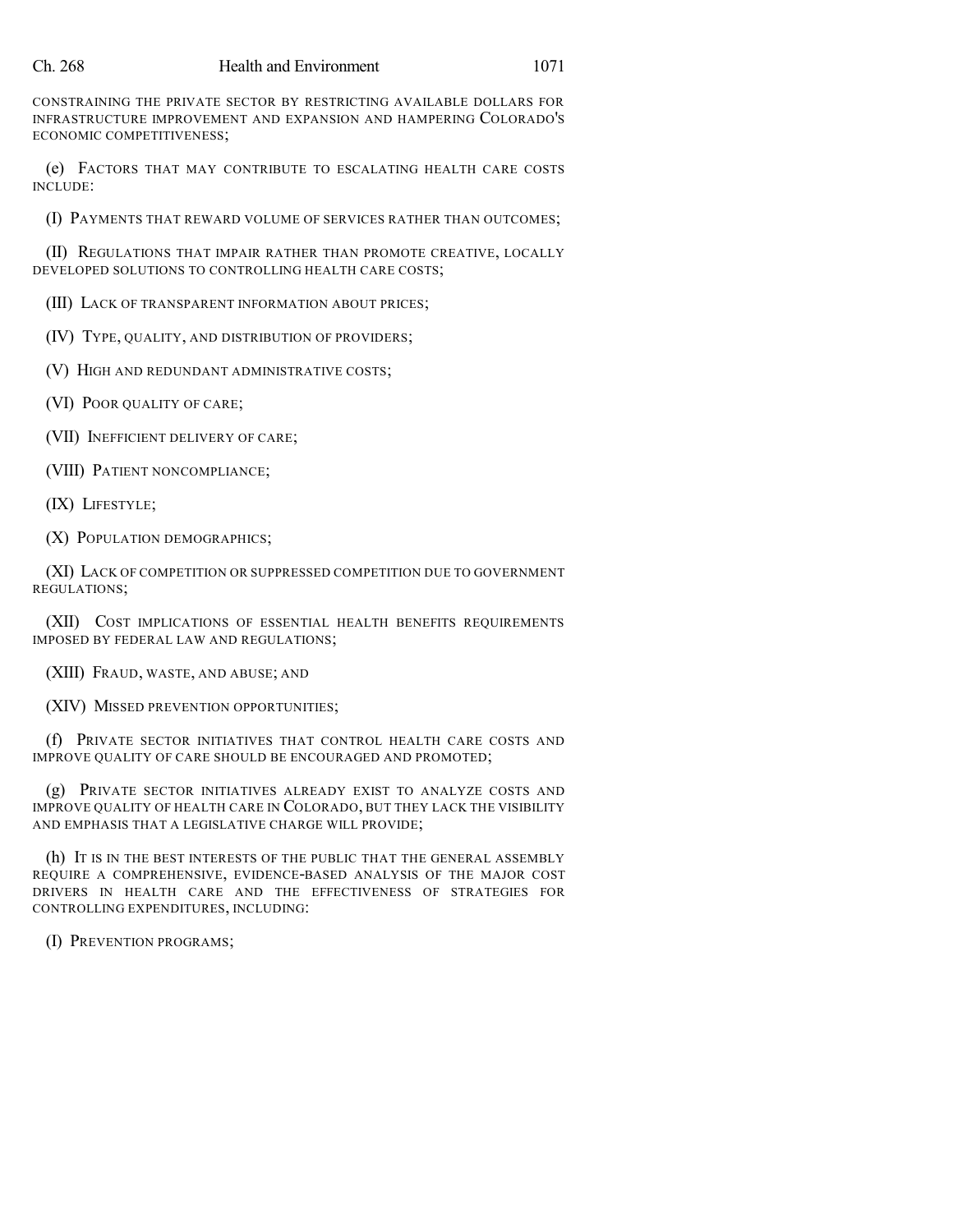CONSTRAINING THE PRIVATE SECTOR BY RESTRICTING AVAILABLE DOLLARS FOR INFRASTRUCTURE IMPROVEMENT AND EXPANSION AND HAMPERING COLORADO'S ECONOMIC COMPETITIVENESS;

(e) FACTORS THAT MAY CONTRIBUTE TO ESCALATING HEALTH CARE COSTS INCLUDE:

(I) PAYMENTS THAT REWARD VOLUME OF SERVICES RATHER THAN OUTCOMES;

(II) REGULATIONS THAT IMPAIR RATHER THAN PROMOTE CREATIVE, LOCALLY DEVELOPED SOLUTIONS TO CONTROLLING HEALTH CARE COSTS;

(III) LACK OF TRANSPARENT INFORMATION ABOUT PRICES;

(IV) TYPE, QUALITY, AND DISTRIBUTION OF PROVIDERS;

(V) HIGH AND REDUNDANT ADMINISTRATIVE COSTS;

(VI) POOR QUALITY OF CARE;

(VII) INEFFICIENT DELIVERY OF CARE;

(VIII) PATIENT NONCOMPLIANCE;

(IX) LIFESTYLE;

(X) POPULATION DEMOGRAPHICS;

(XI) LACK OF COMPETITION OR SUPPRESSED COMPETITION DUE TO GOVERNMENT REGULATIONS;

(XII) COST IMPLICATIONS OF ESSENTIAL HEALTH BENEFITS REQUIREMENTS IMPOSED BY FEDERAL LAW AND REGULATIONS;

(XIII) FRAUD, WASTE, AND ABUSE; AND

(XIV) MISSED PREVENTION OPPORTUNITIES;

(f) PRIVATE SECTOR INITIATIVES THAT CONTROL HEALTH CARE COSTS AND IMPROVE QUALITY OF CARE SHOULD BE ENCOURAGED AND PROMOTED;

(g) PRIVATE SECTOR INITIATIVES ALREADY EXIST TO ANALYZE COSTS AND IMPROVE QUALITY OF HEALTH CARE IN COLORADO, BUT THEY LACK THE VISIBILITY AND EMPHASIS THAT A LEGISLATIVE CHARGE WILL PROVIDE;

(h) IT IS IN THE BEST INTERESTS OF THE PUBLIC THAT THE GENERAL ASSEMBLY REQUIRE A COMPREHENSIVE, EVIDENCE-BASED ANALYSIS OF THE MAJOR COST DRIVERS IN HEALTH CARE AND THE EFFECTIVENESS OF STRATEGIES FOR CONTROLLING EXPENDITURES, INCLUDING:

(I) PREVENTION PROGRAMS;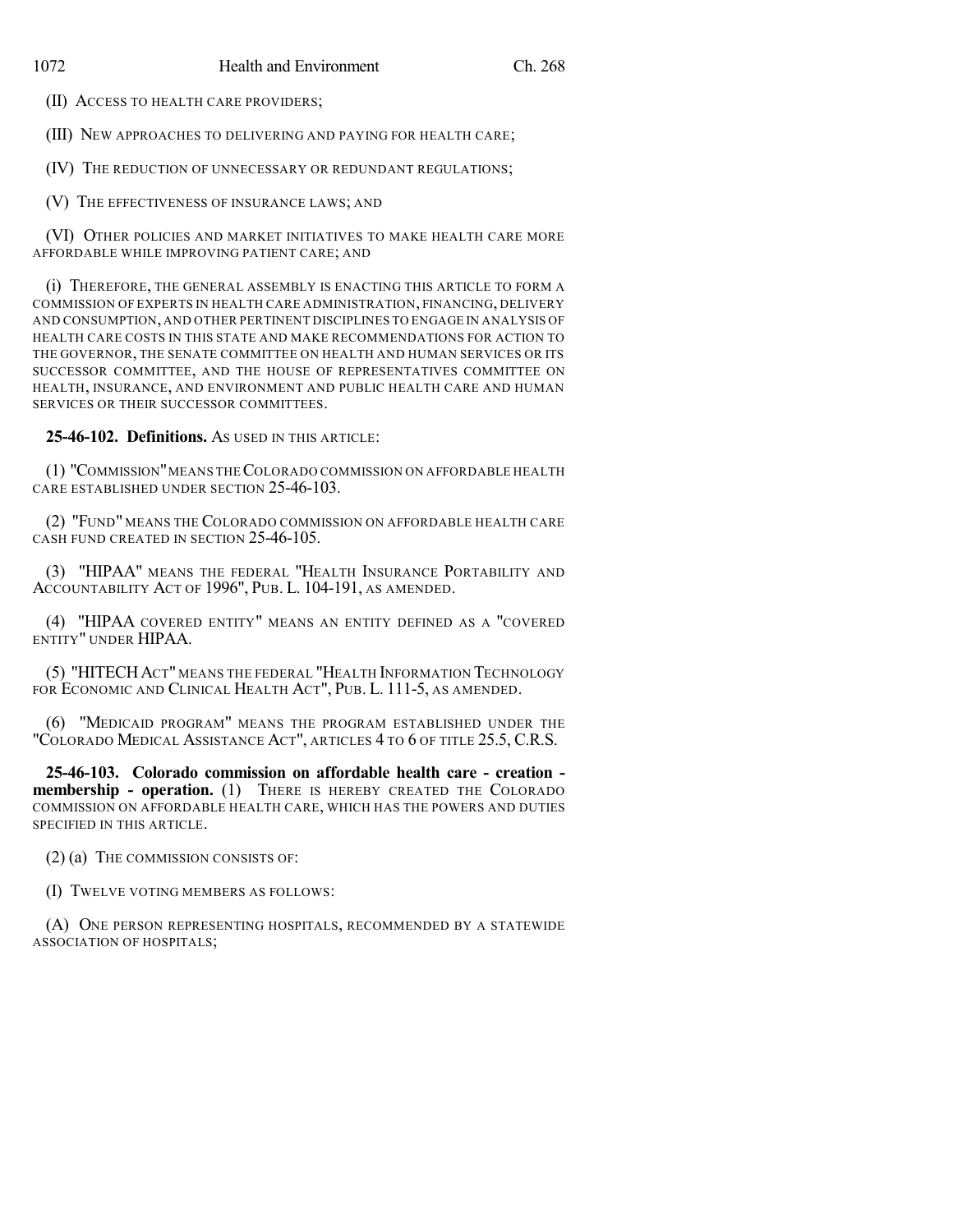(II) ACCESS TO HEALTH CARE PROVIDERS;

(III) NEW APPROACHES TO DELIVERING AND PAYING FOR HEALTH CARE;

(IV) THE REDUCTION OF UNNECESSARY OR REDUNDANT REGULATIONS;

(V) THE EFFECTIVENESS OF INSURANCE LAWS; AND

(VI) OTHER POLICIES AND MARKET INITIATIVES TO MAKE HEALTH CARE MORE AFFORDABLE WHILE IMPROVING PATIENT CARE; AND

(i) THEREFORE, THE GENERAL ASSEMBLY IS ENACTING THIS ARTICLE TO FORM A COMMISSION OF EXPERTS IN HEALTH CARE ADMINISTRATION, FINANCING, DELIVERY AND CONSUMPTION, AND OTHER PERTINENT DISCIPLINES TO ENGAGE IN ANALYSIS OF HEALTH CARE COSTS IN THIS STATE AND MAKE RECOMMENDATIONS FOR ACTION TO THE GOVERNOR, THE SENATE COMMITTEE ON HEALTH AND HUMAN SERVICES OR ITS SUCCESSOR COMMITTEE, AND THE HOUSE OF REPRESENTATIVES COMMITTEE ON HEALTH, INSURANCE, AND ENVIRONMENT AND PUBLIC HEALTH CARE AND HUMAN SERVICES OR THEIR SUCCESSOR COMMITTEES.

**25-46-102. Definitions.** AS USED IN THIS ARTICLE:

(1) "COMMISSION"MEANS THECOLORADO COMMISSION ON AFFORDABLE HEALTH CARE ESTABLISHED UNDER SECTION 25-46-103.

(2) "FUND" MEANS THE COLORADO COMMISSION ON AFFORDABLE HEALTH CARE CASH FUND CREATED IN SECTION 25-46-105.

(3) "HIPAA" MEANS THE FEDERAL "HEALTH INSURANCE PORTABILITY AND ACCOUNTABILITY ACT OF 1996", PUB. L. 104-191, AS AMENDED.

(4) "HIPAA COVERED ENTITY" MEANS AN ENTITY DEFINED AS A "COVERED ENTITY" UNDER HIPAA.

(5) "HITECHACT" MEANS THE FEDERAL "HEALTH INFORMATION TECHNOLOGY FOR ECONOMIC AND CLINICAL HEALTH ACT", PUB. L. 111-5, AS AMENDED.

(6) "MEDICAID PROGRAM" MEANS THE PROGRAM ESTABLISHED UNDER THE "COLORADO MEDICAL ASSISTANCE ACT", ARTICLES 4 TO 6 OF TITLE 25.5, C.R.S.

**25-46-103. Colorado commission on affordable health care - creation membership - operation.** (1) THERE IS HEREBY CREATED THE COLORADO COMMISSION ON AFFORDABLE HEALTH CARE, WHICH HAS THE POWERS AND DUTIES SPECIFIED IN THIS ARTICLE.

(2) (a) THE COMMISSION CONSISTS OF:

(I) TWELVE VOTING MEMBERS AS FOLLOWS:

(A) ONE PERSON REPRESENTING HOSPITALS, RECOMMENDED BY A STATEWIDE ASSOCIATION OF HOSPITALS;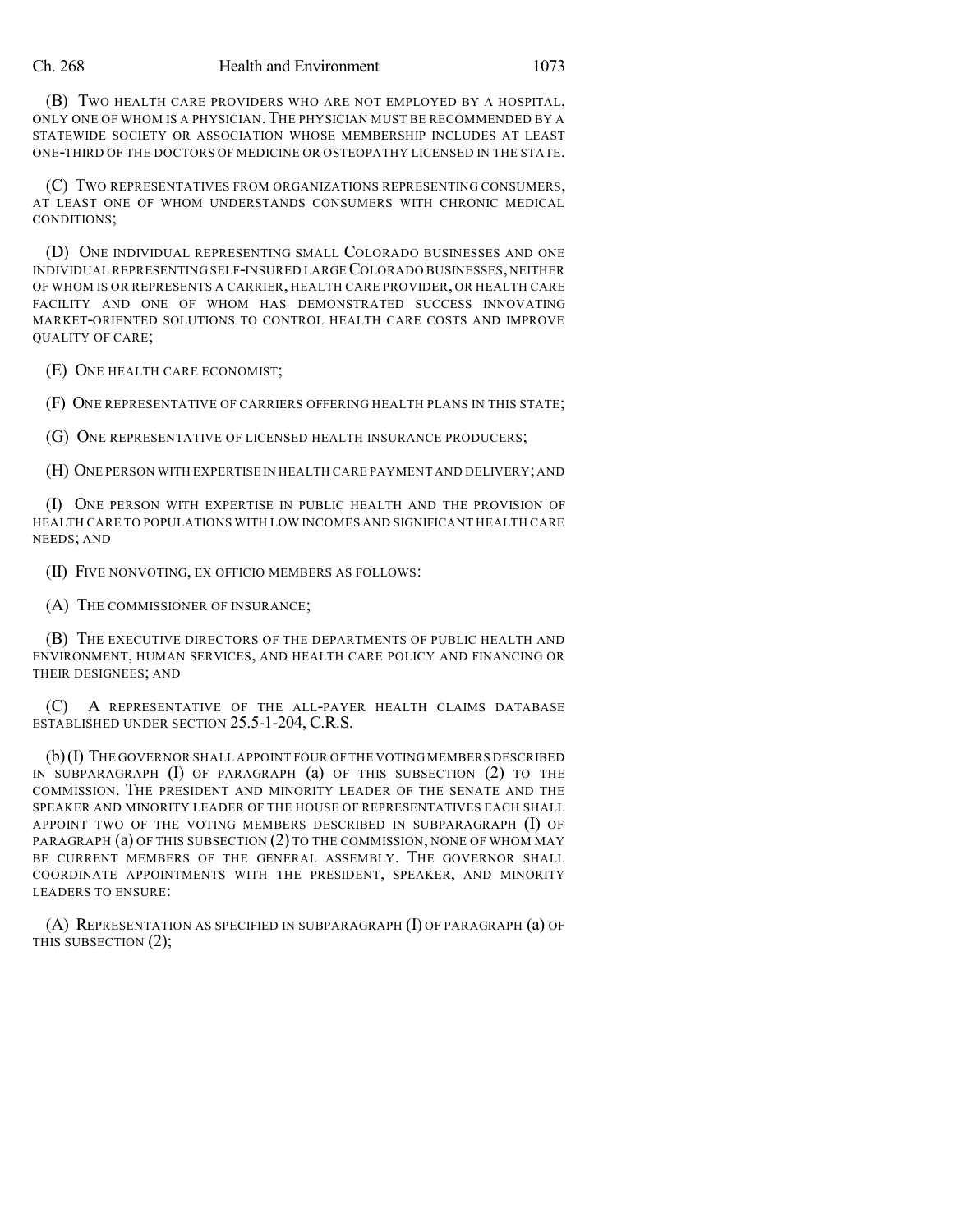(B) TWO HEALTH CARE PROVIDERS WHO ARE NOT EMPLOYED BY A HOSPITAL, ONLY ONE OF WHOM IS A PHYSICIAN.THE PHYSICIAN MUST BE RECOMMENDED BY A STATEWIDE SOCIETY OR ASSOCIATION WHOSE MEMBERSHIP INCLUDES AT LEAST ONE-THIRD OF THE DOCTORS OF MEDICINE OR OSTEOPATHY LICENSED IN THE STATE.

(C) TWO REPRESENTATIVES FROM ORGANIZATIONS REPRESENTING CONSUMERS, AT LEAST ONE OF WHOM UNDERSTANDS CONSUMERS WITH CHRONIC MEDICAL CONDITIONS;

(D) ONE INDIVIDUAL REPRESENTING SMALL COLORADO BUSINESSES AND ONE INDIVIDUAL REPRESENTING SELF-INSURED LARGECOLORADO BUSINESSES, NEITHER OF WHOM IS OR REPRESENTS A CARRIER, HEALTH CARE PROVIDER, OR HEALTH CARE FACILITY AND ONE OF WHOM HAS DEMONSTRATED SUCCESS INNOVATING MARKET-ORIENTED SOLUTIONS TO CONTROL HEALTH CARE COSTS AND IMPROVE QUALITY OF CARE;

(E) ONE HEALTH CARE ECONOMIST;

(F) ONE REPRESENTATIVE OF CARRIERS OFFERING HEALTH PLANS IN THIS STATE;

(G) ONE REPRESENTATIVE OF LICENSED HEALTH INSURANCE PRODUCERS;

(H) ONE PERSON WITH EXPERTISE IN HEALTH CARE PAYMENT AND DELIVERY;AND

(I) ONE PERSON WITH EXPERTISE IN PUBLIC HEALTH AND THE PROVISION OF HEALTH CARE TO POPULATIONS WITH LOW INCOMES AND SIGNIFICANT HEALTH CARE NEEDS; AND

(II) FIVE NONVOTING, EX OFFICIO MEMBERS AS FOLLOWS:

(A) THE COMMISSIONER OF INSURANCE;

(B) THE EXECUTIVE DIRECTORS OF THE DEPARTMENTS OF PUBLIC HEALTH AND ENVIRONMENT, HUMAN SERVICES, AND HEALTH CARE POLICY AND FINANCING OR THEIR DESIGNEES; AND

(C) A REPRESENTATIVE OF THE ALL-PAYER HEALTH CLAIMS DATABASE ESTABLISHED UNDER SECTION 25.5-1-204, C.R.S.

(b)(I) THE GOVERNOR SHALL APPOINT FOUR OF THE VOTING MEMBERS DESCRIBED IN SUBPARAGRAPH (I) OF PARAGRAPH (a) OF THIS SUBSECTION (2) TO THE COMMISSION. THE PRESIDENT AND MINORITY LEADER OF THE SENATE AND THE SPEAKER AND MINORITY LEADER OF THE HOUSE OF REPRESENTATIVES EACH SHALL APPOINT TWO OF THE VOTING MEMBERS DESCRIBED IN SUBPARAGRAPH (I) OF PARAGRAPH (a) OF THIS SUBSECTION (2) TO THE COMMISSION, NONE OF WHOM MAY BE CURRENT MEMBERS OF THE GENERAL ASSEMBLY. THE GOVERNOR SHALL COORDINATE APPOINTMENTS WITH THE PRESIDENT, SPEAKER, AND MINORITY LEADERS TO ENSURE:

(A) REPRESENTATION AS SPECIFIED IN SUBPARAGRAPH (I) OF PARAGRAPH (a) OF THIS SUBSECTION (2);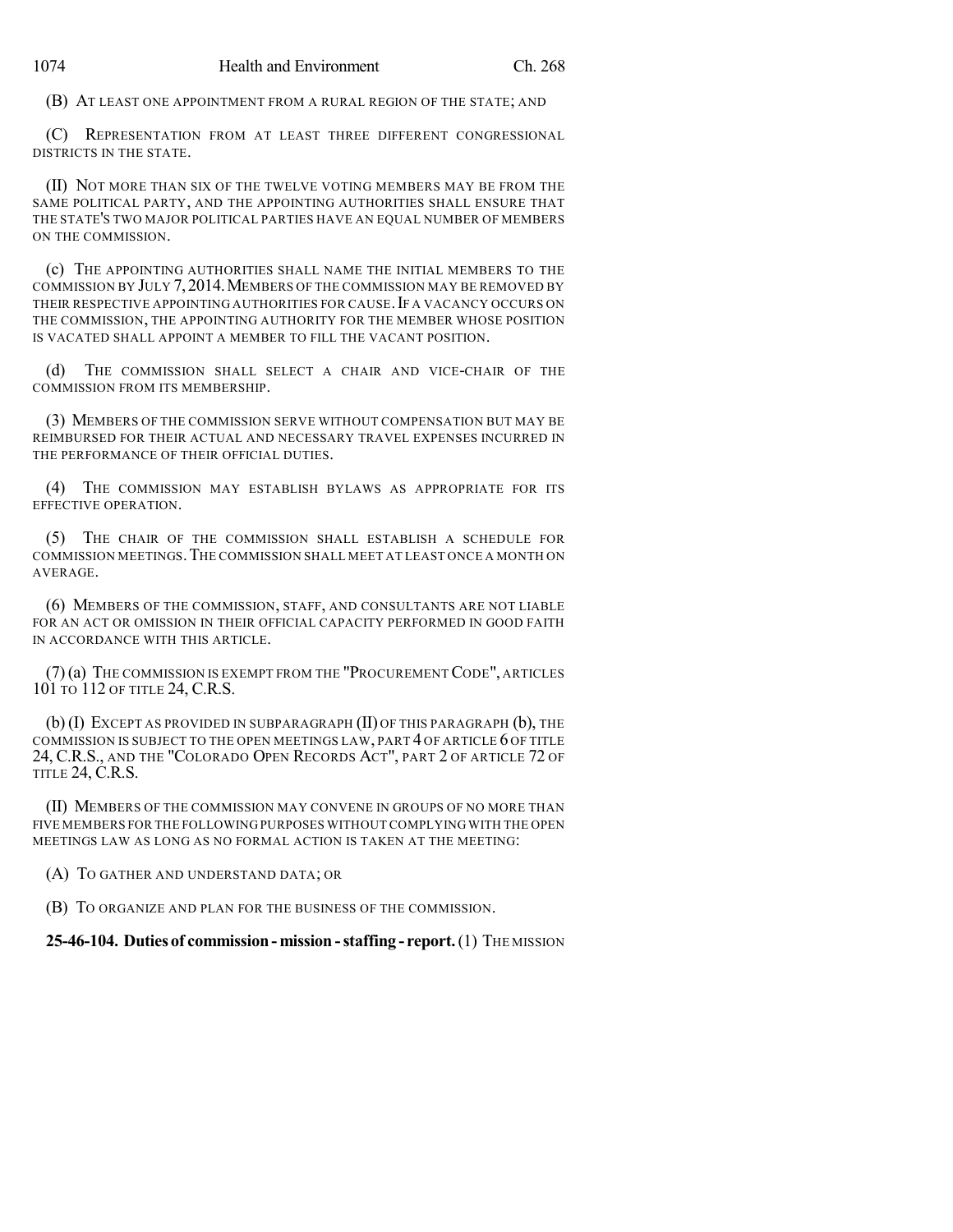(B) AT LEAST ONE APPOINTMENT FROM A RURAL REGION OF THE STATE; AND

(C) REPRESENTATION FROM AT LEAST THREE DIFFERENT CONGRESSIONAL DISTRICTS IN THE STATE.

(II) NOT MORE THAN SIX OF THE TWELVE VOTING MEMBERS MAY BE FROM THE SAME POLITICAL PARTY, AND THE APPOINTING AUTHORITIES SHALL ENSURE THAT THE STATE'S TWO MAJOR POLITICAL PARTIES HAVE AN EQUAL NUMBER OF MEMBERS ON THE COMMISSION.

(c) THE APPOINTING AUTHORITIES SHALL NAME THE INITIAL MEMBERS TO THE COMMISSION BY JULY 7,2014.MEMBERS OF THE COMMISSION MAY BE REMOVED BY THEIR RESPECTIVE APPOINTING AUTHORITIES FOR CAUSE. IF A VACANCY OCCURS ON THE COMMISSION, THE APPOINTING AUTHORITY FOR THE MEMBER WHOSE POSITION IS VACATED SHALL APPOINT A MEMBER TO FILL THE VACANT POSITION.

(d) THE COMMISSION SHALL SELECT A CHAIR AND VICE-CHAIR OF THE COMMISSION FROM ITS MEMBERSHIP.

(3) MEMBERS OF THE COMMISSION SERVE WITHOUT COMPENSATION BUT MAY BE REIMBURSED FOR THEIR ACTUAL AND NECESSARY TRAVEL EXPENSES INCURRED IN THE PERFORMANCE OF THEIR OFFICIAL DUTIES.

(4) THE COMMISSION MAY ESTABLISH BYLAWS AS APPROPRIATE FOR ITS EFFECTIVE OPERATION.

(5) THE CHAIR OF THE COMMISSION SHALL ESTABLISH A SCHEDULE FOR COMMISSION MEETINGS.THE COMMISSION SHALL MEET AT LEAST ONCE A MONTH ON AVERAGE.

(6) MEMBERS OF THE COMMISSION, STAFF, AND CONSULTANTS ARE NOT LIABLE FOR AN ACT OR OMISSION IN THEIR OFFICIAL CAPACITY PERFORMED IN GOOD FAITH IN ACCORDANCE WITH THIS ARTICLE.

(7)(a) THE COMMISSION IS EXEMPT FROM THE "PROCUREMENTCODE", ARTICLES 101 TO 112 OF TITLE 24, C.R.S.

(b) (I) EXCEPT AS PROVIDED IN SUBPARAGRAPH (II) OF THIS PARAGRAPH (b), THE COMMISSION IS SUBJECT TO THE OPEN MEETINGS LAW, PART 4 OF ARTICLE 6 OF TITLE 24, C.R.S., AND THE "COLORADO OPEN RECORDS ACT", PART 2 OF ARTICLE 72 OF TITLE 24, C.R.S.

(II) MEMBERS OF THE COMMISSION MAY CONVENE IN GROUPS OF NO MORE THAN FIVE MEMBERS FOR THE FOLLOWING PURPOSES WITHOUT COMPLYING WITH THE OPEN MEETINGS LAW AS LONG AS NO FORMAL ACTION IS TAKEN AT THE MEETING:

(A) TO GATHER AND UNDERSTAND DATA; OR

(B) TO ORGANIZE AND PLAN FOR THE BUSINESS OF THE COMMISSION.

## **25-46-104. Duties of commission- mission -staffing - report.**(1) THE MISSION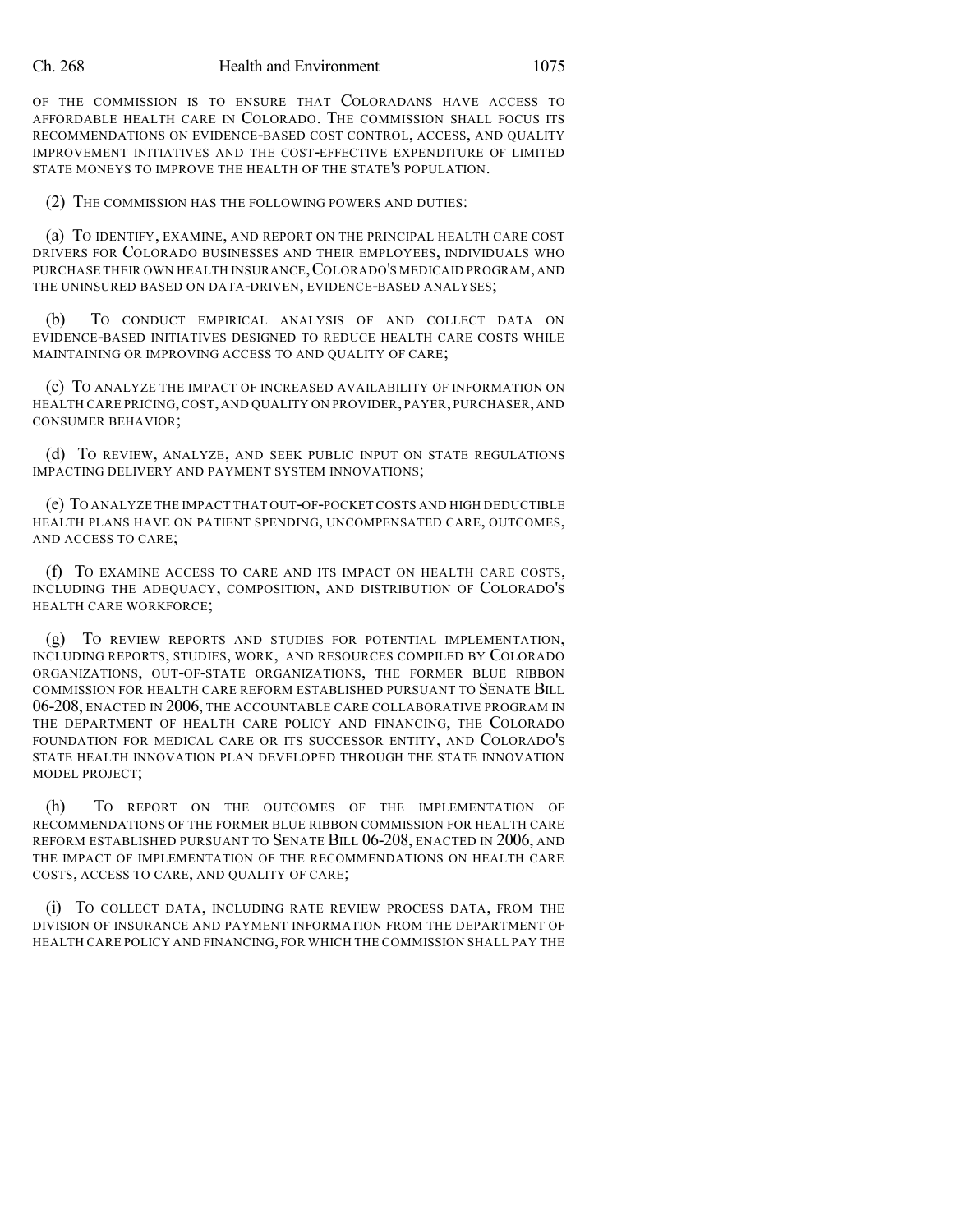OF THE COMMISSION IS TO ENSURE THAT COLORADANS HAVE ACCESS TO AFFORDABLE HEALTH CARE IN COLORADO. THE COMMISSION SHALL FOCUS ITS RECOMMENDATIONS ON EVIDENCE-BASED COST CONTROL, ACCESS, AND QUALITY IMPROVEMENT INITIATIVES AND THE COST-EFFECTIVE EXPENDITURE OF LIMITED STATE MONEYS TO IMPROVE THE HEALTH OF THE STATE'S POPULATION.

(2) THE COMMISSION HAS THE FOLLOWING POWERS AND DUTIES:

(a) TO IDENTIFY, EXAMINE, AND REPORT ON THE PRINCIPAL HEALTH CARE COST DRIVERS FOR COLORADO BUSINESSES AND THEIR EMPLOYEES, INDIVIDUALS WHO PURCHASE THEIR OWN HEALTH INSURANCE,COLORADO'S MEDICAID PROGRAM, AND THE UNINSURED BASED ON DATA-DRIVEN, EVIDENCE-BASED ANALYSES;

(b) TO CONDUCT EMPIRICAL ANALYSIS OF AND COLLECT DATA ON EVIDENCE-BASED INITIATIVES DESIGNED TO REDUCE HEALTH CARE COSTS WHILE MAINTAINING OR IMPROVING ACCESS TO AND QUALITY OF CARE;

(c) TO ANALYZE THE IMPACT OF INCREASED AVAILABILITY OF INFORMATION ON HEALTH CARE PRICING,COST, AND QUALITY ON PROVIDER, PAYER, PURCHASER, AND CONSUMER BEHAVIOR;

(d) TO REVIEW, ANALYZE, AND SEEK PUBLIC INPUT ON STATE REGULATIONS IMPACTING DELIVERY AND PAYMENT SYSTEM INNOVATIONS;

(e) TO ANALYZE THE IMPACT THAT OUT-OF-POCKET COSTS AND HIGH DEDUCTIBLE HEALTH PLANS HAVE ON PATIENT SPENDING, UNCOMPENSATED CARE, OUTCOMES, AND ACCESS TO CARE;

(f) TO EXAMINE ACCESS TO CARE AND ITS IMPACT ON HEALTH CARE COSTS, INCLUDING THE ADEQUACY, COMPOSITION, AND DISTRIBUTION OF COLORADO'S HEALTH CARE WORKFORCE;

(g) TO REVIEW REPORTS AND STUDIES FOR POTENTIAL IMPLEMENTATION, INCLUDING REPORTS, STUDIES, WORK, AND RESOURCES COMPILED BY COLORADO ORGANIZATIONS, OUT-OF-STATE ORGANIZATIONS, THE FORMER BLUE RIBBON COMMISSION FOR HEALTH CARE REFORM ESTABLISHED PURSUANT TO SENATE BILL 06-208, ENACTED IN 2006, THE ACCOUNTABLE CARE COLLABORATIVE PROGRAM IN THE DEPARTMENT OF HEALTH CARE POLICY AND FINANCING, THE COLORADO FOUNDATION FOR MEDICAL CARE OR ITS SUCCESSOR ENTITY, AND COLORADO'S STATE HEALTH INNOVATION PLAN DEVELOPED THROUGH THE STATE INNOVATION MODEL PROJECT;

(h) TO REPORT ON THE OUTCOMES OF THE IMPLEMENTATION OF RECOMMENDATIONS OF THE FORMER BLUE RIBBON COMMISSION FOR HEALTH CARE REFORM ESTABLISHED PURSUANT TO SENATE BILL 06-208, ENACTED IN 2006, AND THE IMPACT OF IMPLEMENTATION OF THE RECOMMENDATIONS ON HEALTH CARE COSTS, ACCESS TO CARE, AND QUALITY OF CARE;

(i) TO COLLECT DATA, INCLUDING RATE REVIEW PROCESS DATA, FROM THE DIVISION OF INSURANCE AND PAYMENT INFORMATION FROM THE DEPARTMENT OF HEALTH CARE POLICY AND FINANCING, FOR WHICH THE COMMISSION SHALL PAY THE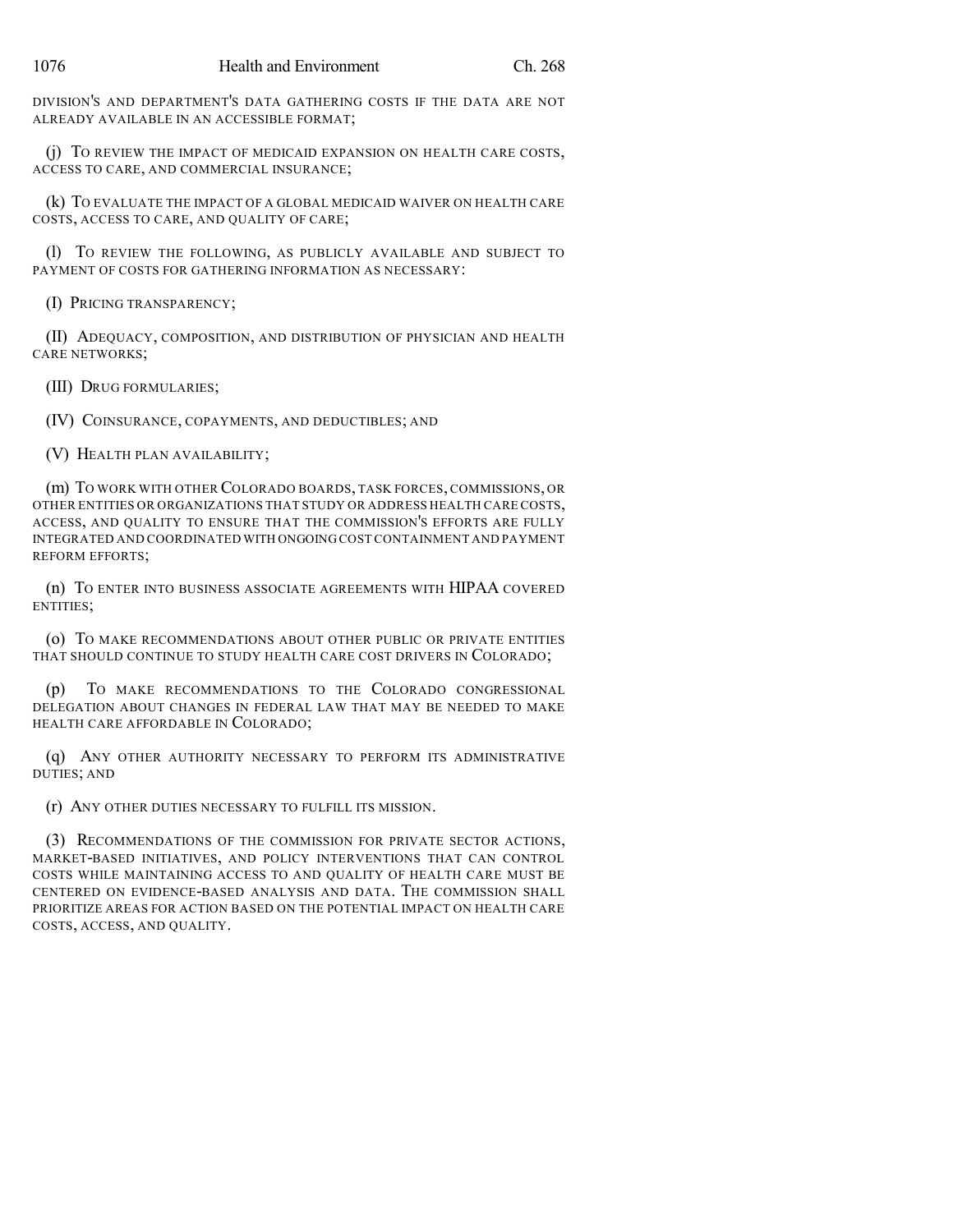DIVISION'S AND DEPARTMENT'S DATA GATHERING COSTS IF THE DATA ARE NOT ALREADY AVAILABLE IN AN ACCESSIBLE FORMAT;

(j) TO REVIEW THE IMPACT OF MEDICAID EXPANSION ON HEALTH CARE COSTS, ACCESS TO CARE, AND COMMERCIAL INSURANCE;

(k) TO EVALUATE THE IMPACT OF A GLOBAL MEDICAID WAIVER ON HEALTH CARE COSTS, ACCESS TO CARE, AND QUALITY OF CARE;

(l) TO REVIEW THE FOLLOWING, AS PUBLICLY AVAILABLE AND SUBJECT TO PAYMENT OF COSTS FOR GATHERING INFORMATION AS NECESSARY:

(I) PRICING TRANSPARENCY;

(II) ADEQUACY, COMPOSITION, AND DISTRIBUTION OF PHYSICIAN AND HEALTH CARE NETWORKS;

(III) DRUG FORMULARIES;

(IV) COINSURANCE, COPAYMENTS, AND DEDUCTIBLES; AND

(V) HEALTH PLAN AVAILABILITY;

(m) TO WORK WITH OTHER COLORADO BOARDS, TASK FORCES, COMMISSIONS, OR OTHER ENTITIES OR ORGANIZATIONS THAT STUDY OR ADDRESS HEALTH CARE COSTS, ACCESS, AND QUALITY TO ENSURE THAT THE COMMISSION'S EFFORTS ARE FULLY INTEGRATED AND COORDINATED WITH ONGOING COSTCONTAINMENT AND PAYMENT REFORM EFFORTS;

(n) TO ENTER INTO BUSINESS ASSOCIATE AGREEMENTS WITH HIPAA COVERED ENTITIES;

(o) TO MAKE RECOMMENDATIONS ABOUT OTHER PUBLIC OR PRIVATE ENTITIES THAT SHOULD CONTINUE TO STUDY HEALTH CARE COST DRIVERS IN COLORADO;

(p) TO MAKE RECOMMENDATIONS TO THE COLORADO CONGRESSIONAL DELEGATION ABOUT CHANGES IN FEDERAL LAW THAT MAY BE NEEDED TO MAKE HEALTH CARE AFFORDABLE IN COLORADO;

(q) ANY OTHER AUTHORITY NECESSARY TO PERFORM ITS ADMINISTRATIVE DUTIES; AND

(r) ANY OTHER DUTIES NECESSARY TO FULFILL ITS MISSION.

(3) RECOMMENDATIONS OF THE COMMISSION FOR PRIVATE SECTOR ACTIONS, MARKET-BASED INITIATIVES, AND POLICY INTERVENTIONS THAT CAN CONTROL COSTS WHILE MAINTAINING ACCESS TO AND QUALITY OF HEALTH CARE MUST BE CENTERED ON EVIDENCE-BASED ANALYSIS AND DATA. THE COMMISSION SHALL PRIORITIZE AREAS FOR ACTION BASED ON THE POTENTIAL IMPACT ON HEALTH CARE COSTS, ACCESS, AND QUALITY.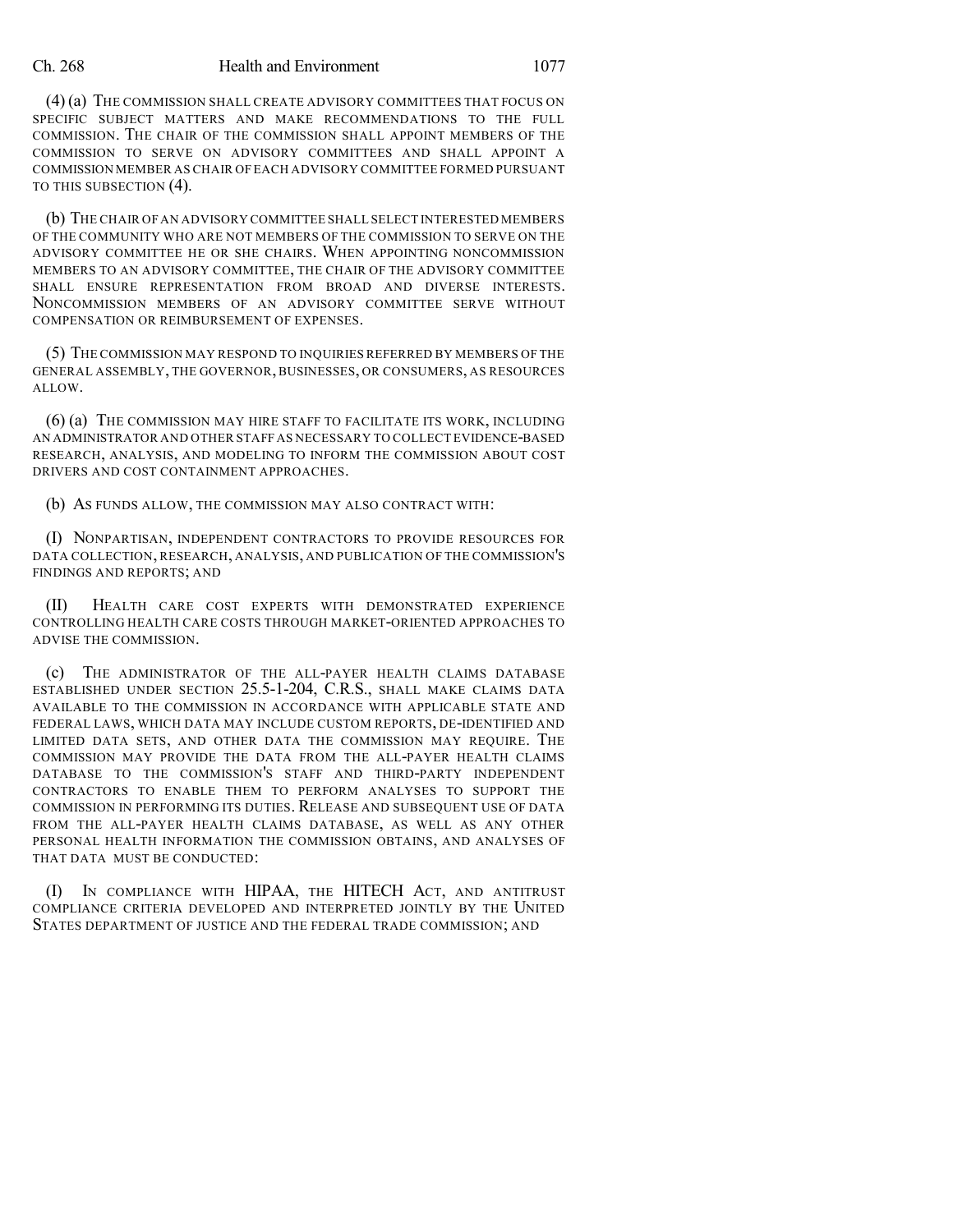(4) (a) THE COMMISSION SHALL CREATE ADVISORY COMMITTEES THAT FOCUS ON SPECIFIC SUBJECT MATTERS AND MAKE RECOMMENDATIONS TO THE FULL COMMISSION. THE CHAIR OF THE COMMISSION SHALL APPOINT MEMBERS OF THE COMMISSION TO SERVE ON ADVISORY COMMITTEES AND SHALL APPOINT A COMMISSION MEMBER AS CHAIR OF EACH ADVISORY COMMITTEE FORMED PURSUANT TO THIS SUBSECTION (4).

(b) THE CHAIR OF AN ADVISORY COMMITTEE SHALL SELECT INTERESTED MEMBERS OF THE COMMUNITY WHO ARE NOT MEMBERS OF THE COMMISSION TO SERVE ON THE ADVISORY COMMITTEE HE OR SHE CHAIRS. WHEN APPOINTING NONCOMMISSION MEMBERS TO AN ADVISORY COMMITTEE, THE CHAIR OF THE ADVISORY COMMITTEE SHALL ENSURE REPRESENTATION FROM BROAD AND DIVERSE INTERESTS. NONCOMMISSION MEMBERS OF AN ADVISORY COMMITTEE SERVE WITHOUT COMPENSATION OR REIMBURSEMENT OF EXPENSES.

(5) THE COMMISSION MAY RESPOND TO INQUIRIES REFERRED BY MEMBERS OF THE GENERAL ASSEMBLY, THE GOVERNOR, BUSINESSES, OR CONSUMERS, AS RESOURCES ALLOW.

(6) (a) THE COMMISSION MAY HIRE STAFF TO FACILITATE ITS WORK, INCLUDING AN ADMINISTRATOR AND OTHER STAFF AS NECESSARY TO COLLECT EVIDENCE-BASED RESEARCH, ANALYSIS, AND MODELING TO INFORM THE COMMISSION ABOUT COST DRIVERS AND COST CONTAINMENT APPROACHES.

(b) AS FUNDS ALLOW, THE COMMISSION MAY ALSO CONTRACT WITH:

(I) NONPARTISAN, INDEPENDENT CONTRACTORS TO PROVIDE RESOURCES FOR DATA COLLECTION, RESEARCH, ANALYSIS, AND PUBLICATION OF THE COMMISSION'S FINDINGS AND REPORTS; AND

(II) HEALTH CARE COST EXPERTS WITH DEMONSTRATED EXPERIENCE CONTROLLING HEALTH CARE COSTS THROUGH MARKET-ORIENTED APPROACHES TO ADVISE THE COMMISSION.

(c) THE ADMINISTRATOR OF THE ALL-PAYER HEALTH CLAIMS DATABASE ESTABLISHED UNDER SECTION 25.5-1-204, C.R.S., SHALL MAKE CLAIMS DATA AVAILABLE TO THE COMMISSION IN ACCORDANCE WITH APPLICABLE STATE AND FEDERAL LAWS, WHICH DATA MAY INCLUDE CUSTOM REPORTS, DE-IDENTIFIED AND LIMITED DATA SETS, AND OTHER DATA THE COMMISSION MAY REQUIRE. THE COMMISSION MAY PROVIDE THE DATA FROM THE ALL-PAYER HEALTH CLAIMS DATABASE TO THE COMMISSION'S STAFF AND THIRD-PARTY INDEPENDENT CONTRACTORS TO ENABLE THEM TO PERFORM ANALYSES TO SUPPORT THE COMMISSION IN PERFORMING ITS DUTIES. RELEASE AND SUBSEQUENT USE OF DATA FROM THE ALL-PAYER HEALTH CLAIMS DATABASE, AS WELL AS ANY OTHER PERSONAL HEALTH INFORMATION THE COMMISSION OBTAINS, AND ANALYSES OF THAT DATA MUST BE CONDUCTED:

(I) IN COMPLIANCE WITH HIPAA, THE HITECH ACT, AND ANTITRUST COMPLIANCE CRITERIA DEVELOPED AND INTERPRETED JOINTLY BY THE UNITED STATES DEPARTMENT OF JUSTICE AND THE FEDERAL TRADE COMMISSION; AND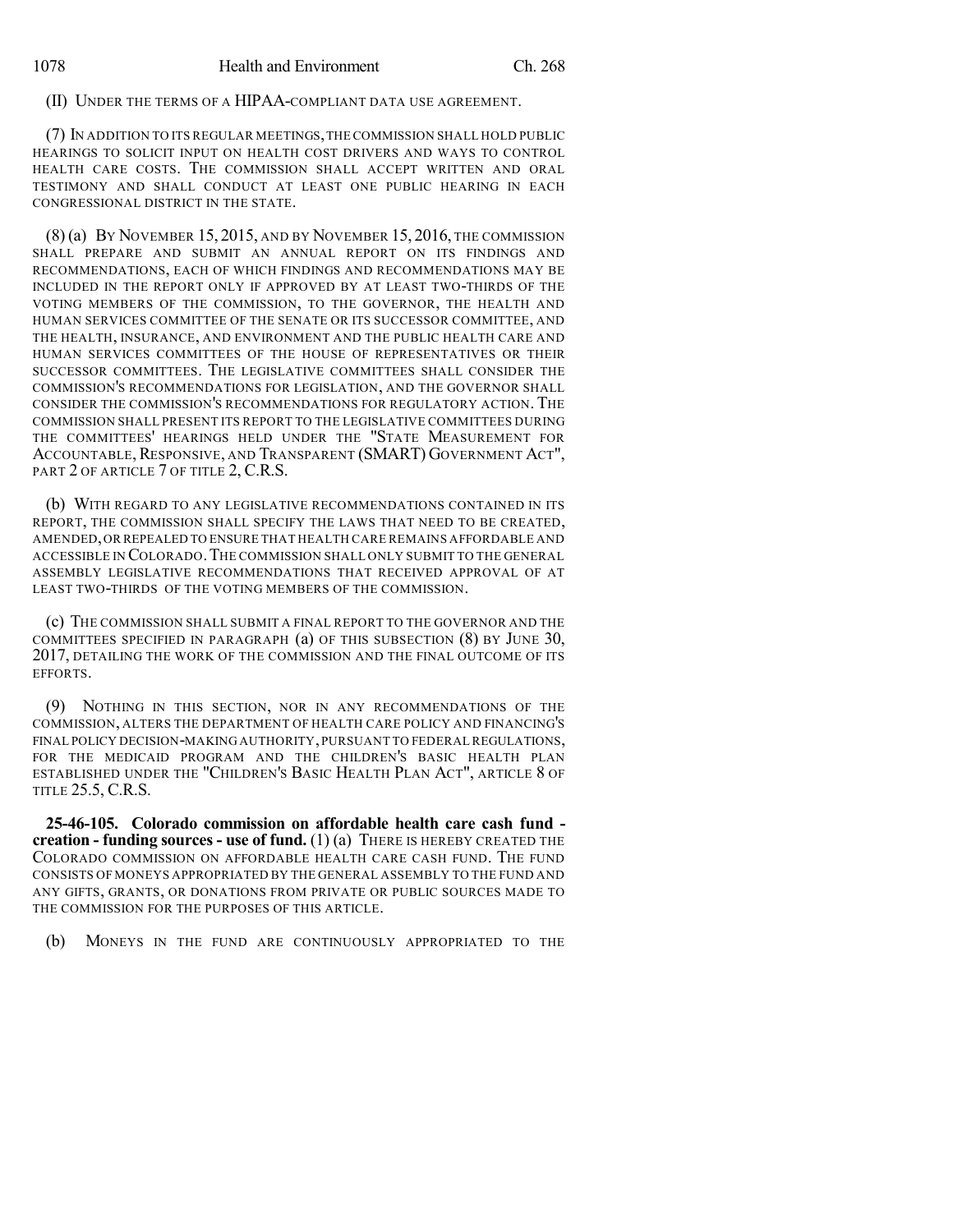### (II) UNDER THE TERMS OF A HIPAA-COMPLIANT DATA USE AGREEMENT.

(7) IN ADDITION TO ITS REGULAR MEETINGS,THECOMMISSION SHALL HOLD PUBLIC HEARINGS TO SOLICIT INPUT ON HEALTH COST DRIVERS AND WAYS TO CONTROL HEALTH CARE COSTS. THE COMMISSION SHALL ACCEPT WRITTEN AND ORAL TESTIMONY AND SHALL CONDUCT AT LEAST ONE PUBLIC HEARING IN EACH CONGRESSIONAL DISTRICT IN THE STATE.

(8) (a) BY NOVEMBER 15, 2015, AND BY NOVEMBER 15, 2016, THE COMMISSION SHALL PREPARE AND SUBMIT AN ANNUAL REPORT ON ITS FINDINGS AND RECOMMENDATIONS, EACH OF WHICH FINDINGS AND RECOMMENDATIONS MAY BE INCLUDED IN THE REPORT ONLY IF APPROVED BY AT LEAST TWO-THIRDS OF THE VOTING MEMBERS OF THE COMMISSION, TO THE GOVERNOR, THE HEALTH AND HUMAN SERVICES COMMITTEE OF THE SENATE OR ITS SUCCESSOR COMMITTEE, AND THE HEALTH, INSURANCE, AND ENVIRONMENT AND THE PUBLIC HEALTH CARE AND HUMAN SERVICES COMMITTEES OF THE HOUSE OF REPRESENTATIVES OR THEIR SUCCESSOR COMMITTEES. THE LEGISLATIVE COMMITTEES SHALL CONSIDER THE COMMISSION'S RECOMMENDATIONS FOR LEGISLATION, AND THE GOVERNOR SHALL CONSIDER THE COMMISSION'S RECOMMENDATIONS FOR REGULATORY ACTION. THE COMMISSION SHALL PRESENT ITS REPORT TO THE LEGISLATIVE COMMITTEES DURING THE COMMITTEES' HEARINGS HELD UNDER THE "STATE MEASUREMENT FOR ACCOUNTABLE, RESPONSIVE, AND TRANSPARENT (SMART) GOVERNMENT ACT", PART 2 OF ARTICLE 7 OF TITLE 2, C.R.S.

(b) WITH REGARD TO ANY LEGISLATIVE RECOMMENDATIONS CONTAINED IN ITS REPORT, THE COMMISSION SHALL SPECIFY THE LAWS THAT NEED TO BE CREATED, AMENDED,OR REPEALED TO ENSURE THAT HEALTH CARE REMAINS AFFORDABLE AND ACCESSIBLE IN COLORADO.THE COMMISSION SHALL ONLY SUBMIT TO THE GENERAL ASSEMBLY LEGISLATIVE RECOMMENDATIONS THAT RECEIVED APPROVAL OF AT LEAST TWO-THIRDS OF THE VOTING MEMBERS OF THE COMMISSION.

(c) THE COMMISSION SHALL SUBMIT A FINAL REPORT TO THE GOVERNOR AND THE COMMITTEES SPECIFIED IN PARAGRAPH (a) OF THIS SUBSECTION (8) BY JUNE 30, 2017, DETAILING THE WORK OF THE COMMISSION AND THE FINAL OUTCOME OF ITS EFFORTS.

(9) NOTHING IN THIS SECTION, NOR IN ANY RECOMMENDATIONS OF THE COMMISSION, ALTERS THE DEPARTMENT OF HEALTH CARE POLICY AND FINANCING'S FINAL POLICY DECISION-MAKING AUTHORITY,PURSUANT TO FEDERAL REGULATIONS, FOR THE MEDICAID PROGRAM AND THE CHILDREN'S BASIC HEALTH PLAN ESTABLISHED UNDER THE "CHILDREN'S BASIC HEALTH PLAN ACT", ARTICLE 8 OF TITLE 25.5, C.R.S.

**25-46-105. Colorado commission on affordable health care cash fund creation - funding sources - use of fund.** (1) (a) THERE IS HEREBY CREATED THE COLORADO COMMISSION ON AFFORDABLE HEALTH CARE CASH FUND. THE FUND CONSISTS OF MONEYS APPROPRIATED BY THE GENERAL ASSEMBLY TO THE FUND AND ANY GIFTS, GRANTS, OR DONATIONS FROM PRIVATE OR PUBLIC SOURCES MADE TO THE COMMISSION FOR THE PURPOSES OF THIS ARTICLE.

(b) MONEYS IN THE FUND ARE CONTINUOUSLY APPROPRIATED TO THE